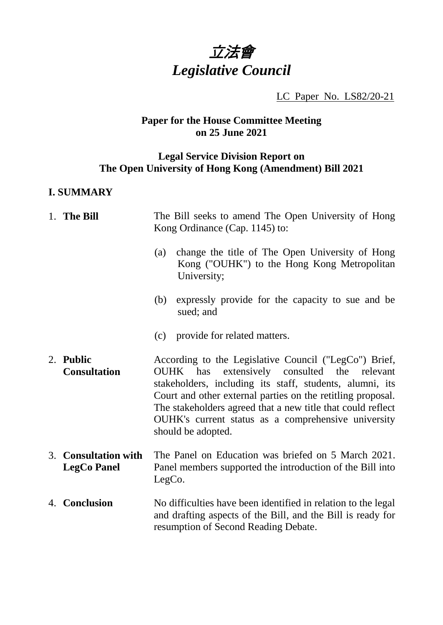# 立法會 *Legislative Council*

LC Paper No. LS82/20-21

# **Paper for the House Committee Meeting on 25 June 2021**

# **Legal Service Division Report on The Open University of Hong Kong (Amendment) Bill 2021**

# **I. SUMMARY**

| 1. The Bill                                | The Bill seeks to amend The Open University of Hong<br>Kong Ordinance (Cap. 1145) to:                                                                                                                                                                                                                                                                                       |                                                                                                               |
|--------------------------------------------|-----------------------------------------------------------------------------------------------------------------------------------------------------------------------------------------------------------------------------------------------------------------------------------------------------------------------------------------------------------------------------|---------------------------------------------------------------------------------------------------------------|
|                                            | (a)                                                                                                                                                                                                                                                                                                                                                                         | change the title of The Open University of Hong<br>Kong ("OUHK") to the Hong Kong Metropolitan<br>University; |
|                                            | (b)                                                                                                                                                                                                                                                                                                                                                                         | expressly provide for the capacity to sue and be<br>sued; and                                                 |
|                                            |                                                                                                                                                                                                                                                                                                                                                                             | (c) provide for related matters.                                                                              |
| 2. Public<br><b>Consultation</b>           | According to the Legislative Council ("LegCo") Brief,<br>OUHK has extensively consulted the relevant<br>stakeholders, including its staff, students, alumni, its<br>Court and other external parties on the retitling proposal.<br>The stakeholders agreed that a new title that could reflect<br>OUHK's current status as a comprehensive university<br>should be adopted. |                                                                                                               |
| 3. Consultation with<br><b>LegCo Panel</b> | The Panel on Education was briefed on 5 March 2021.<br>Panel members supported the introduction of the Bill into<br>LegCo.                                                                                                                                                                                                                                                  |                                                                                                               |
| 4. Conclusion                              | No difficulties have been identified in relation to the legal<br>and drafting aspects of the Bill, and the Bill is ready for<br>resumption of Second Reading Debate.                                                                                                                                                                                                        |                                                                                                               |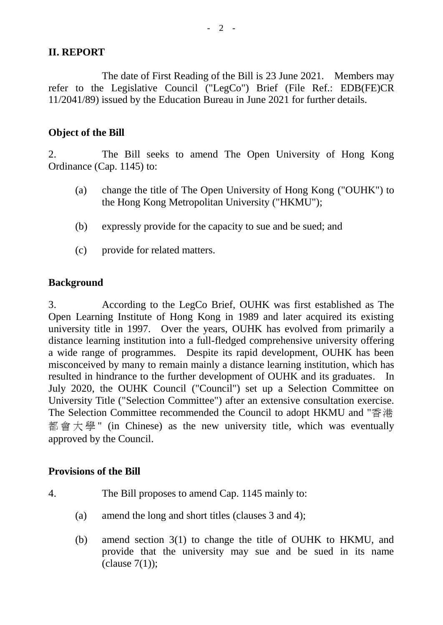#### **II. REPORT**

The date of First Reading of the Bill is 23 June 2021. Members may refer to the Legislative Council ("LegCo") Brief (File Ref.: EDB(FE)CR 11/2041/89) issued by the Education Bureau in June 2021 for further details.

#### **Object of the Bill**

2. The Bill seeks to amend The Open University of Hong Kong Ordinance (Cap. 1145) to:

- (a) change the title of The Open University of Hong Kong ("OUHK") to the Hong Kong Metropolitan University ("HKMU");
- (b) expressly provide for the capacity to sue and be sued; and
- (c) provide for related matters.

#### **Background**

3. According to the LegCo Brief, OUHK was first established as The Open Learning Institute of Hong Kong in 1989 and later acquired its existing university title in 1997. Over the years, OUHK has evolved from primarily a distance learning institution into a full-fledged comprehensive university offering a wide range of programmes. Despite its rapid development, OUHK has been misconceived by many to remain mainly a distance learning institution, which has resulted in hindrance to the further development of OUHK and its graduates. In July 2020, the OUHK Council ("Council") set up a Selection Committee on University Title ("Selection Committee") after an extensive consultation exercise. The Selection Committee recommended the Council to adopt HKMU and "香港 都會大學 " (in Chinese) as the new university title, which was eventually approved by the Council.

#### **Provisions of the Bill**

- 4. The Bill proposes to amend Cap. 1145 mainly to:
	- (a) amend the long and short titles (clauses 3 and 4);
	- (b) amend section 3(1) to change the title of OUHK to HKMU, and provide that the university may sue and be sued in its name  $clause 7(1);$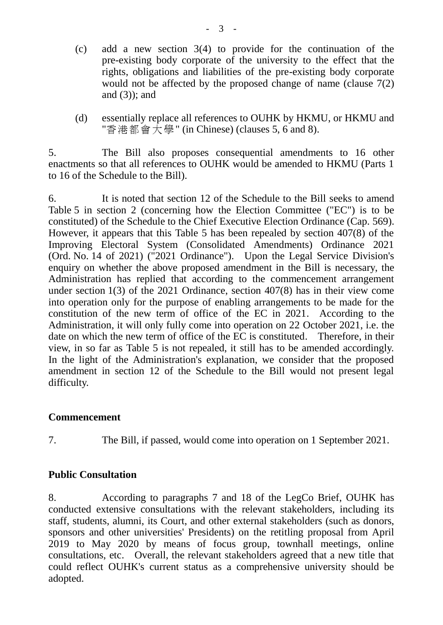- (c) add a new section 3(4) to provide for the continuation of the pre-existing body corporate of the university to the effect that the rights, obligations and liabilities of the pre-existing body corporate would not be affected by the proposed change of name (clause 7(2) and (3)); and
- (d) essentially replace all references to OUHK by HKMU, or HKMU and "香港都會大學" (in Chinese) (clauses 5, 6 and 8).

5. The Bill also proposes consequential amendments to 16 other enactments so that all references to OUHK would be amended to HKMU (Parts 1 to 16 of the Schedule to the Bill).

6. It is noted that section 12 of the Schedule to the Bill seeks to amend Table 5 in section 2 (concerning how the Election Committee ("EC") is to be constituted) of the Schedule to the Chief Executive Election Ordinance (Cap. 569). However, it appears that this Table 5 has been repealed by section 407(8) of the Improving Electoral System (Consolidated Amendments) Ordinance 2021 (Ord. No. 14 of 2021) ("2021 Ordinance"). Upon the Legal Service Division's enquiry on whether the above proposed amendment in the Bill is necessary, the Administration has replied that according to the commencement arrangement under section 1(3) of the 2021 Ordinance, section 407(8) has in their view come into operation only for the purpose of enabling arrangements to be made for the constitution of the new term of office of the EC in 2021. According to the Administration, it will only fully come into operation on 22 October 2021, i.e. the date on which the new term of office of the EC is constituted. Therefore, in their view, in so far as Table 5 is not repealed, it still has to be amended accordingly. In the light of the Administration's explanation, we consider that the proposed amendment in section 12 of the Schedule to the Bill would not present legal difficulty.

## **Commencement**

7. The Bill, if passed, would come into operation on 1 September 2021.

## **Public Consultation**

8. According to paragraphs 7 and 18 of the LegCo Brief, OUHK has conducted extensive consultations with the relevant stakeholders, including its staff, students, alumni, its Court, and other external stakeholders (such as donors, sponsors and other universities' Presidents) on the retitling proposal from April 2019 to May 2020 by means of focus group, townhall meetings, online consultations, etc. Overall, the relevant stakeholders agreed that a new title that could reflect OUHK's current status as a comprehensive university should be adopted.